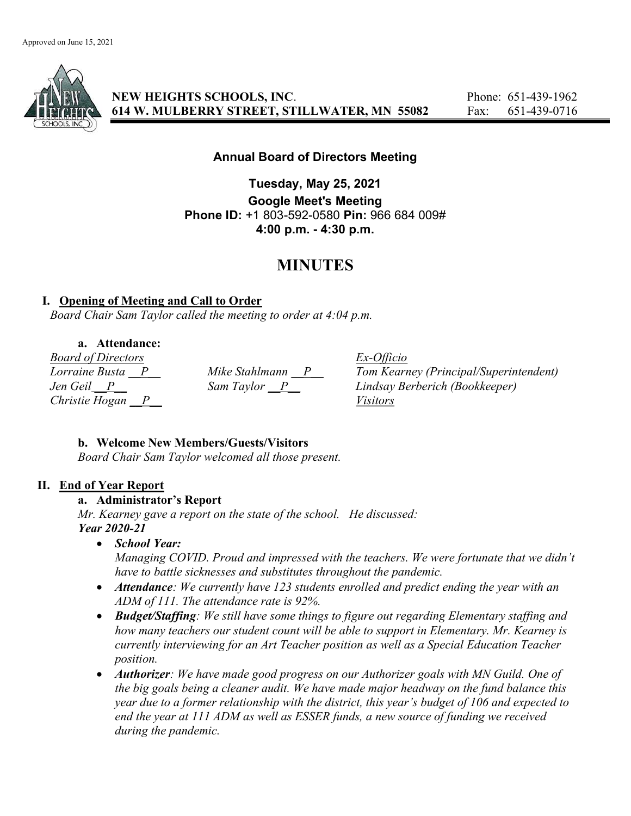

NEW HEIGHTS SCHOOLS, INC. Phone: 651-439-1962 614 W. MULBERRY STREET, STILLWATER, MN 55082 Fax: 651-439-0716

# Annual Board of Directors Meeting

Tuesday, May 25, 2021 Google Meet's Meeting Phone ID: +1 803-592-0580 Pin: 966 684 009# 4:00 p.m. - 4:30 p.m.

# MINUTES

## I. Opening of Meeting and Call to Order

Board Chair Sam Taylor called the meeting to order at 4:04 p.m.

### a. Attendance:

Board of Directors Ex-Officio Christie Hogan  $\overline{P}$  Visitors

 $Lorraine Busta$   $P$   $Mike$  Stahlmann  $P$   $Tom$  Kearney (Principal/Superintendent) Jen Geil P Sam Taylor P Lindsay Berberich (Bookkeeper)

### b. Welcome New Members/Guests/Visitors

Board Chair Sam Taylor welcomed all those present.

### II. End of Year Report

### a. Administrator's Report

Mr. Kearney gave a report on the state of the school. He discussed: Year 2020-21

• School Year:

Managing COVID. Proud and impressed with the teachers. We were fortunate that we didn't have to battle sicknesses and substitutes throughout the pandemic.

- Attendance: We currently have 123 students enrolled and predict ending the year with an ADM of 111. The attendance rate is 92%.
- Budget/Staffing: We still have some things to figure out regarding Elementary staffing and how many teachers our student count will be able to support in Elementary. Mr. Kearney is currently interviewing for an Art Teacher position as well as a Special Education Teacher position.
- Authorizer: We have made good progress on our Authorizer goals with MN Guild. One of the big goals being a cleaner audit. We have made major headway on the fund balance this year due to a former relationship with the district, this year's budget of 106 and expected to end the year at 111 ADM as well as ESSER funds, a new source of funding we received during the pandemic.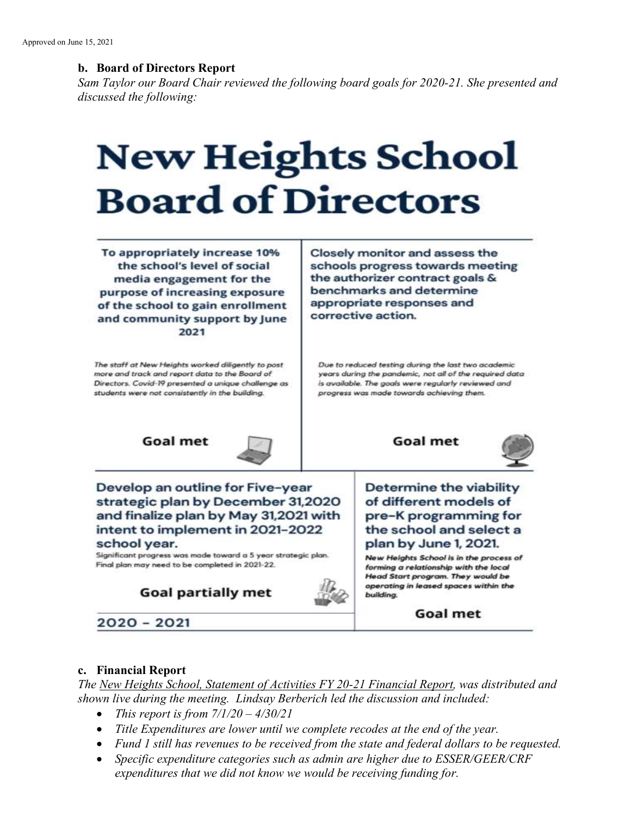### b. Board of Directors Report

Sam Taylor our Board Chair reviewed the following board goals for 2020-21. She presented and discussed the following:

# **New Heights School Board of Directors**

To appropriately increase 10% the school's level of social media engagement for the purpose of increasing exposure of the school to gain enrollment and community support by June 2021

The staff at New Heights worked diligently to post more and track and report data to the Board of Directors. Covid-19 presented a unique challenge as students were not consistently in the building.

Closely monitor and assess the schools progress towards meeting the authorizer contract goals & benchmarks and determine appropriate responses and corrective action.

Due to reduced testing during the last two academic years during the pandemic, not all of the required data is available. The goals were regularly reviewed and progress was made towards achieving them.







Develop an outline for Five-year strategic plan by December 31,2020 and finalize plan by May 31,2021 with intent to implement in 2021-2022 school year.

Significant progress was made toward a 5 year strategic plan. Final plan may need to be completed in 2021-22.

**Goal partially met** 



of different models of pre-K programming for the school and select a plan by June 1, 2021.

Determine the viability

New Heights School is in the process of forming a relationship with the local **Head Start program. They would be** operating in leased spaces within the building.

**Goal met** 

2020 - 2021

### c. Financial Report

The New Heights School, Statement of Activities FY 20-21 Financial Report, was distributed and shown live during the meeting. Lindsay Berberich led the discussion and included:

- This report is from  $7/1/20 4/30/21$
- Title Expenditures are lower until we complete recodes at the end of the year.
- Fund 1 still has revenues to be received from the state and federal dollars to be requested.
- Specific expenditure categories such as admin are higher due to ESSER/GEER/CRF expenditures that we did not know we would be receiving funding for.